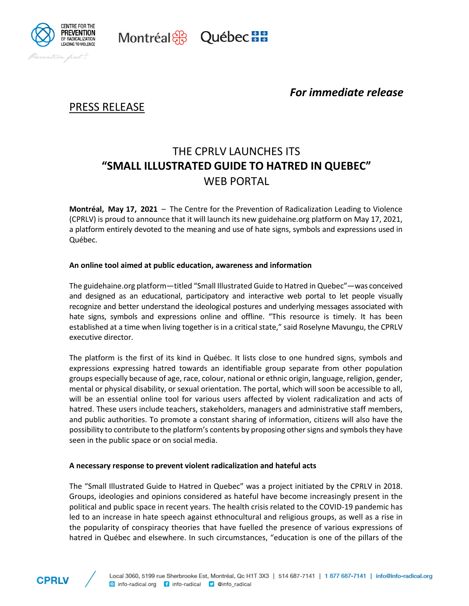

*For immediate release*

## PRESS RELEASE

# THE CPRLV LAUNCHES ITS **"SMALL ILLUSTRATED GUIDE TO HATRED IN QUEBEC"** WEB PORTAL

**Montréal, May 17, 2021** – The Centre for the Prevention of Radicalization Leading to Violence (CPRLV) is proud to announce that it will launch its new guidehaine.org platform on May 17, 2021, a platform entirely devoted to the meaning and use of hate signs, symbols and expressions used in Québec.

### **An online tool aimed at public education, awareness and information**

Montréal & Québec Ha

The guidehaine.org platform—titled "Small Illustrated Guide to Hatred in Quebec"—was conceived and designed as an educational, participatory and interactive web portal to let people visually recognize and better understand the ideological postures and underlying messages associated with hate signs, symbols and expressions online and offline. "This resource is timely. It has been established at a time when living together is in a critical state," said Roselyne Mavungu, the CPRLV executive director.

The platform is the first of its kind in Québec. It lists close to one hundred signs, symbols and expressions expressing hatred towards an identifiable group separate from other population groups especially because of age, race, colour, national or ethnic origin, language, religion, gender, mental or physical disability, or sexual orientation. The portal, which will soon be accessible to all, will be an essential online tool for various users affected by violent radicalization and acts of hatred. These users include teachers, stakeholders, managers and administrative staff members, and public authorities. To promote a constant sharing of information, citizens will also have the possibility to contribute to the platform's contents by proposing other signs and symbols they have seen in the public space or on social media.

#### **A necessary response to prevent violent radicalization and hateful acts**

The "Small Illustrated Guide to Hatred in Quebec" was a project initiated by the CPRLV in 2018. Groups, ideologies and opinions considered as hateful have become increasingly present in the political and public space in recent years. The health crisis related to the COVID-19 pandemic has led to an increase in hate speech against ethnocultural and religious groups, as well as a rise in the popularity of conspiracy theories that have fuelled the presence of various expressions of hatred in Québec and elsewhere. In such circumstances, "education is one of the pillars of the